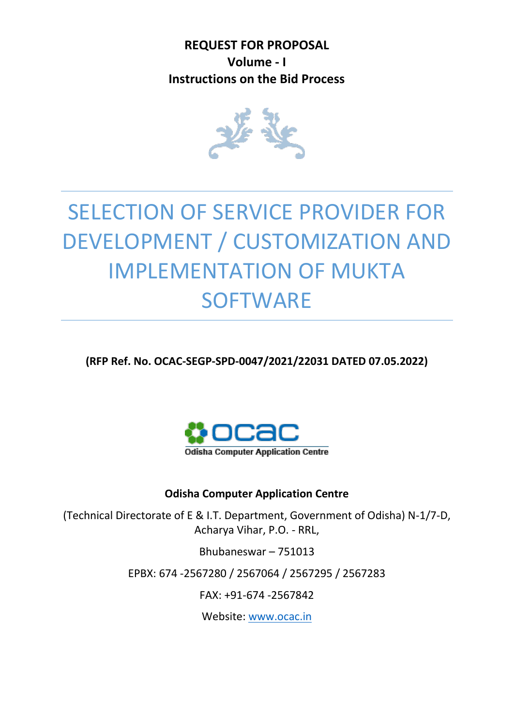**REQUEST FOR PROPOSAL Volume - I Instructions on the Bid Process**



# SELECTION OF SERVICE PROVIDER FOR DEVELOPMENT / CUSTOMIZATION AND IMPLEMENTATION OF MUKTA **SOFTWARE**

**(RFP Ref. No. OCAC-SEGP-SPD-0047/2021/22031 DATED 07.05.2022)**



## **Odisha Computer Application Centre**

(Technical Directorate of E & I.T. Department, Government of Odisha) N-1/7-D, Acharya Vihar, P.O. - RRL,

Bhubaneswar – 751013

EPBX: 674 -2567280 / 2567064 / 2567295 / 2567283

FAX: +91-674 -2567842

Website: [www.ocac.in](http://www.ocac.in/)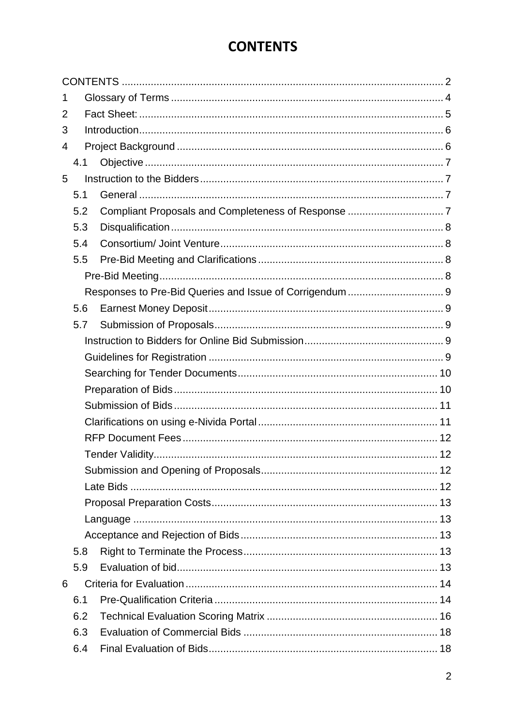# **CONTENTS**

<span id="page-1-0"></span>

| 1 |     |  |
|---|-----|--|
| 2 |     |  |
| 3 |     |  |
| 4 |     |  |
|   | 4.1 |  |
| 5 |     |  |
|   | 5.1 |  |
|   | 5.2 |  |
|   | 5.3 |  |
|   | 5.4 |  |
|   | 5.5 |  |
|   |     |  |
|   |     |  |
|   | 5.6 |  |
|   | 5.7 |  |
|   |     |  |
|   |     |  |
|   |     |  |
|   |     |  |
|   |     |  |
|   |     |  |
|   |     |  |
|   |     |  |
|   |     |  |
|   |     |  |
|   |     |  |
|   |     |  |
|   |     |  |
|   | 5.8 |  |
|   | 5.9 |  |
| 6 |     |  |
|   | 6.1 |  |
|   | 6.2 |  |
|   | 6.3 |  |
|   | 6.4 |  |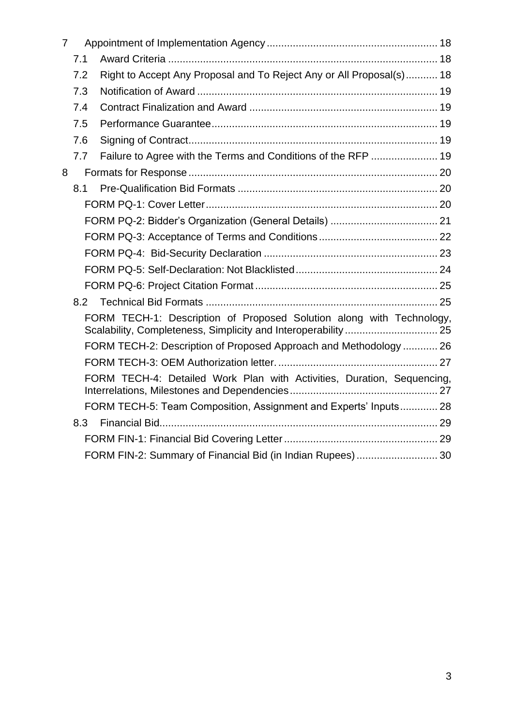| $\overline{7}$ |     |                                                                                                                                        |  |
|----------------|-----|----------------------------------------------------------------------------------------------------------------------------------------|--|
|                | 7.1 |                                                                                                                                        |  |
|                | 7.2 | Right to Accept Any Proposal and To Reject Any or All Proposal(s) 18                                                                   |  |
|                | 7.3 |                                                                                                                                        |  |
|                | 7.4 |                                                                                                                                        |  |
|                | 7.5 |                                                                                                                                        |  |
|                | 7.6 |                                                                                                                                        |  |
|                | 7.7 |                                                                                                                                        |  |
| 8              |     |                                                                                                                                        |  |
|                | 8.1 |                                                                                                                                        |  |
|                |     |                                                                                                                                        |  |
|                |     |                                                                                                                                        |  |
|                |     |                                                                                                                                        |  |
|                |     |                                                                                                                                        |  |
|                |     |                                                                                                                                        |  |
|                |     |                                                                                                                                        |  |
|                | 8.2 |                                                                                                                                        |  |
|                |     | FORM TECH-1: Description of Proposed Solution along with Technology,<br>Scalability, Completeness, Simplicity and Interoperability  25 |  |
|                |     | FORM TECH-2: Description of Proposed Approach and Methodology  26                                                                      |  |
|                |     |                                                                                                                                        |  |
|                |     | FORM TECH-4: Detailed Work Plan with Activities, Duration, Sequencing,                                                                 |  |
|                |     | FORM TECH-5: Team Composition, Assignment and Experts' Inputs 28                                                                       |  |
|                | 8.3 |                                                                                                                                        |  |
|                |     |                                                                                                                                        |  |
|                |     | FORM FIN-2: Summary of Financial Bid (in Indian Rupees) 30                                                                             |  |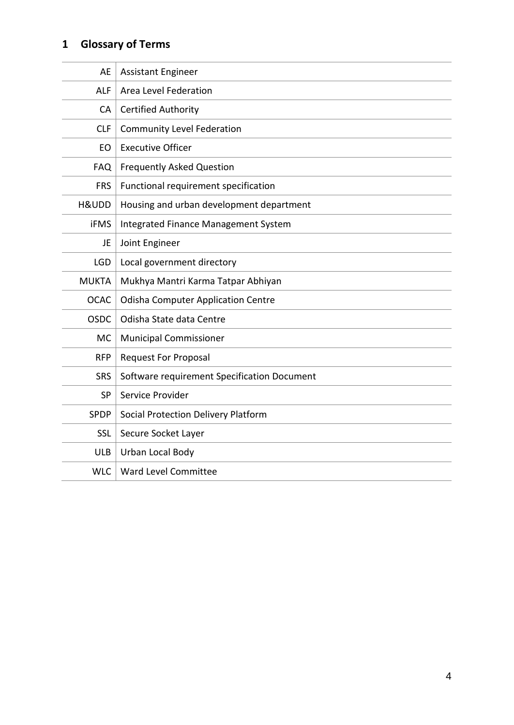# <span id="page-3-0"></span>**1 Glossary of Terms**

| AE           | <b>Assistant Engineer</b>                   |
|--------------|---------------------------------------------|
| <b>ALF</b>   | Area Level Federation                       |
| CA           | <b>Certified Authority</b>                  |
| <b>CLF</b>   | <b>Community Level Federation</b>           |
| EO           | <b>Executive Officer</b>                    |
| <b>FAQ</b>   | Frequently Asked Question                   |
| <b>FRS</b>   | Functional requirement specification        |
| H&UDD        | Housing and urban development department    |
| <b>iFMS</b>  | Integrated Finance Management System        |
| JE           | Joint Engineer                              |
| <b>LGD</b>   | Local government directory                  |
| <b>MUKTA</b> | Mukhya Mantri Karma Tatpar Abhiyan          |
| <b>OCAC</b>  | <b>Odisha Computer Application Centre</b>   |
| <b>OSDC</b>  | Odisha State data Centre                    |
| <b>MC</b>    | <b>Municipal Commissioner</b>               |
| <b>RFP</b>   | <b>Request For Proposal</b>                 |
| <b>SRS</b>   | Software requirement Specification Document |
| <b>SP</b>    | Service Provider                            |
| <b>SPDP</b>  | Social Protection Delivery Platform         |
| SSL          | Secure Socket Layer                         |
| <b>ULB</b>   | Urban Local Body                            |
| <b>WLC</b>   | Ward Level Committee                        |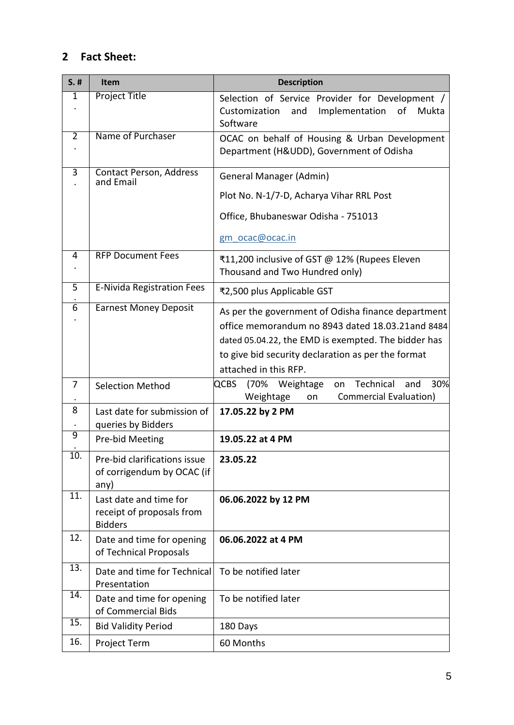## <span id="page-4-0"></span>**2 Fact Sheet:**

| $S.$ #            | <b>Item</b>                                                           | <b>Description</b>                                                                                                                                                                                                                           |  |  |
|-------------------|-----------------------------------------------------------------------|----------------------------------------------------------------------------------------------------------------------------------------------------------------------------------------------------------------------------------------------|--|--|
| 1                 | <b>Project Title</b>                                                  | Selection of Service Provider for Development /<br>Implementation<br>and<br>of<br>Customization<br>Mukta<br>Software                                                                                                                         |  |  |
| $\overline{2}$    | Name of Purchaser                                                     | OCAC on behalf of Housing & Urban Development<br>Department (H&UDD), Government of Odisha                                                                                                                                                    |  |  |
| 3                 | Contact Person, Address<br>and Email                                  | General Manager (Admin)<br>Plot No. N-1/7-D, Acharya Vihar RRL Post                                                                                                                                                                          |  |  |
|                   |                                                                       | Office, Bhubaneswar Odisha - 751013<br>gm ocac@ocac.in                                                                                                                                                                                       |  |  |
|                   |                                                                       |                                                                                                                                                                                                                                              |  |  |
| 4                 | <b>RFP Document Fees</b>                                              | ₹11,200 inclusive of GST @ 12% (Rupees Eleven<br>Thousand and Two Hundred only)                                                                                                                                                              |  |  |
| 5                 | <b>E-Nivida Registration Fees</b>                                     | ₹2,500 plus Applicable GST                                                                                                                                                                                                                   |  |  |
| 6                 | <b>Earnest Money Deposit</b>                                          | As per the government of Odisha finance department<br>office memorandum no 8943 dated 18.03.21and 8484<br>dated 05.04.22, the EMD is exempted. The bidder has<br>to give bid security declaration as per the format<br>attached in this RFP. |  |  |
| 7                 | <b>Selection Method</b>                                               | 30%<br>Technical<br><b>QCBS</b><br>(70%<br>Weightage<br>and<br>on<br><b>Commercial Evaluation)</b><br>Weightage<br>on                                                                                                                        |  |  |
| 8                 | Last date for submission of<br>queries by Bidders                     | 17.05.22 by 2 PM                                                                                                                                                                                                                             |  |  |
| $\overline{9}$    | Pre-bid Meeting                                                       | 19.05.22 at 4 PM                                                                                                                                                                                                                             |  |  |
| $\overline{10}$ . | Pre-bid clarifications issue<br>of corrigendum by OCAC (if<br>any)    | 23.05.22                                                                                                                                                                                                                                     |  |  |
| 11.               | Last date and time for<br>receipt of proposals from<br><b>Bidders</b> | 06.06.2022 by 12 PM                                                                                                                                                                                                                          |  |  |
| 12.               | Date and time for opening<br>of Technical Proposals                   | 06.06.2022 at 4 PM                                                                                                                                                                                                                           |  |  |
| 13.               | Date and time for Technical<br>Presentation                           | To be notified later                                                                                                                                                                                                                         |  |  |
| 14.               | Date and time for opening<br>of Commercial Bids                       | To be notified later                                                                                                                                                                                                                         |  |  |
| 15.               | <b>Bid Validity Period</b>                                            | 180 Days                                                                                                                                                                                                                                     |  |  |
| 16.               | Project Term                                                          | 60 Months                                                                                                                                                                                                                                    |  |  |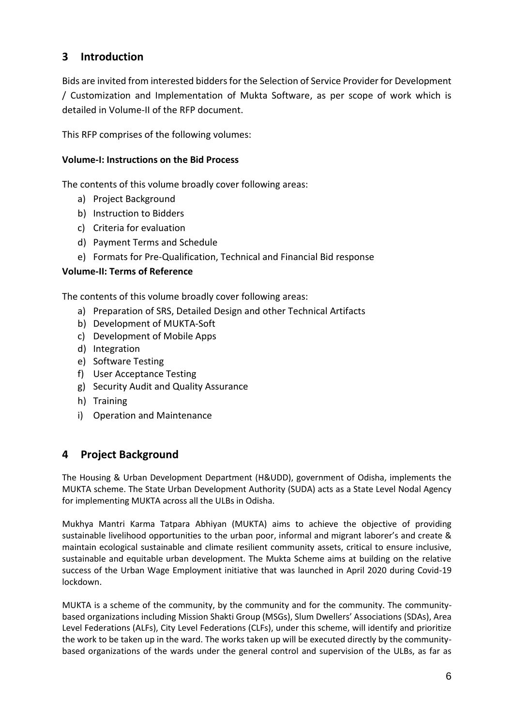## <span id="page-5-0"></span>**3 Introduction**

Bids are invited from interested bidders for the Selection of Service Provider for Development / Customization and Implementation of Mukta Software, as per scope of work which is detailed in Volume-II of the RFP document.

This RFP comprises of the following volumes:

## **Volume-I: Instructions on the Bid Process**

The contents of this volume broadly cover following areas:

- a) Project Background
- b) Instruction to Bidders
- c) Criteria for evaluation
- d) Payment Terms and Schedule
- e) Formats for Pre-Qualification, Technical and Financial Bid response

## **Volume-II: Terms of Reference**

The contents of this volume broadly cover following areas:

- a) Preparation of SRS, Detailed Design and other Technical Artifacts
- b) Development of MUKTA-Soft
- c) Development of Mobile Apps
- d) Integration
- e) Software Testing
- f) User Acceptance Testing
- g) Security Audit and Quality Assurance
- h) Training
- i) Operation and Maintenance

## <span id="page-5-1"></span>**4 Project Background**

The Housing & Urban Development Department (H&UDD), government of Odisha, implements the MUKTA scheme. The State Urban Development Authority (SUDA) acts as a State Level Nodal Agency for implementing MUKTA across all the ULBs in Odisha.

Mukhya Mantri Karma Tatpara Abhiyan (MUKTA) aims to achieve the objective of providing sustainable livelihood opportunities to the urban poor, informal and migrant laborer's and create & maintain ecological sustainable and climate resilient community assets, critical to ensure inclusive, sustainable and equitable urban development. The Mukta Scheme aims at building on the relative success of the Urban Wage Employment initiative that was launched in April 2020 during Covid-19 lockdown.

MUKTA is a scheme of the community, by the community and for the community. The communitybased organizations including Mission Shakti Group (MSGs), Slum Dwellers' Associations (SDAs), Area Level Federations (ALFs), City Level Federations (CLFs), under this scheme, will identify and prioritize the work to be taken up in the ward. The works taken up will be executed directly by the communitybased organizations of the wards under the general control and supervision of the ULBs, as far as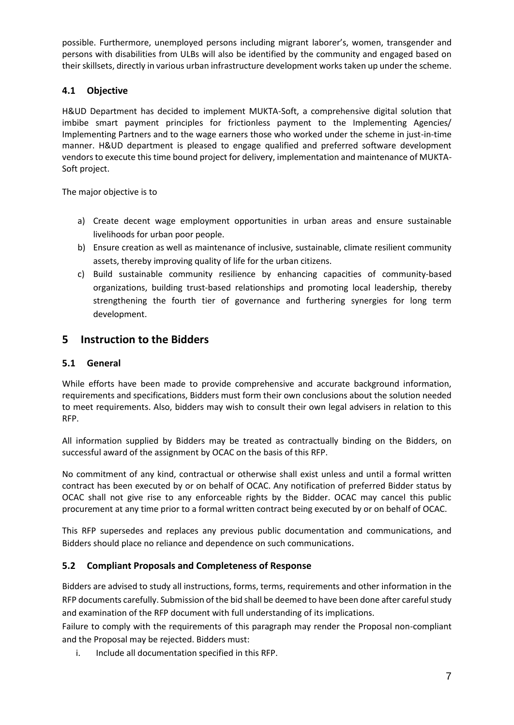possible. Furthermore, unemployed persons including migrant laborer's, women, transgender and persons with disabilities from ULBs will also be identified by the community and engaged based on their skillsets, directly in various urban infrastructure development works taken up under the scheme.

## <span id="page-6-0"></span>**4.1 Objective**

H&UD Department has decided to implement MUKTA-Soft, a comprehensive digital solution that imbibe smart payment principles for frictionless payment to the Implementing Agencies/ Implementing Partners and to the wage earners those who worked under the scheme in just-in-time manner. H&UD department is pleased to engage qualified and preferred software development vendors to execute this time bound project for delivery, implementation and maintenance of MUKTA-Soft project.

The major objective is to

- a) Create decent wage employment opportunities in urban areas and ensure sustainable livelihoods for urban poor people.
- b) Ensure creation as well as maintenance of inclusive, sustainable, climate resilient community assets, thereby improving quality of life for the urban citizens.
- c) Build sustainable community resilience by enhancing capacities of community-based organizations, building trust-based relationships and promoting local leadership, thereby strengthening the fourth tier of governance and furthering synergies for long term development.

## <span id="page-6-1"></span>**5 Instruction to the Bidders**

#### <span id="page-6-2"></span>**5.1 General**

While efforts have been made to provide comprehensive and accurate background information, requirements and specifications, Bidders must form their own conclusions about the solution needed to meet requirements. Also, bidders may wish to consult their own legal advisers in relation to this RFP.

All information supplied by Bidders may be treated as contractually binding on the Bidders, on successful award of the assignment by OCAC on the basis of this RFP.

No commitment of any kind, contractual or otherwise shall exist unless and until a formal written contract has been executed by or on behalf of OCAC. Any notification of preferred Bidder status by OCAC shall not give rise to any enforceable rights by the Bidder. OCAC may cancel this public procurement at any time prior to a formal written contract being executed by or on behalf of OCAC.

This RFP supersedes and replaces any previous public documentation and communications, and Bidders should place no reliance and dependence on such communications.

## <span id="page-6-3"></span>**5.2 Compliant Proposals and Completeness of Response**

Bidders are advised to study all instructions, forms, terms, requirements and other information in the RFP documents carefully. Submission of the bid shall be deemed to have been done after careful study and examination of the RFP document with full understanding of its implications.

Failure to comply with the requirements of this paragraph may render the Proposal non-compliant and the Proposal may be rejected. Bidders must:

i. Include all documentation specified in this RFP.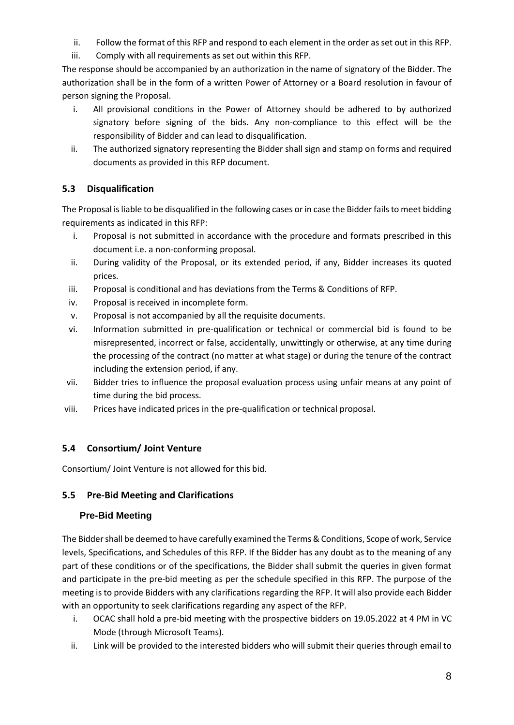- ii. Follow the format of this RFP and respond to each element in the order as set out in this RFP.
- iii. Comply with all requirements as set out within this RFP.

The response should be accompanied by an authorization in the name of signatory of the Bidder. The authorization shall be in the form of a written Power of Attorney or a Board resolution in favour of person signing the Proposal.

- i. All provisional conditions in the Power of Attorney should be adhered to by authorized signatory before signing of the bids. Any non-compliance to this effect will be the responsibility of Bidder and can lead to disqualification.
- ii. The authorized signatory representing the Bidder shall sign and stamp on forms and required documents as provided in this RFP document.

## <span id="page-7-0"></span>**5.3 Disqualification**

The Proposal is liable to be disqualified in the following cases or in case the Bidder fails to meet bidding requirements as indicated in this RFP:

- i. Proposal is not submitted in accordance with the procedure and formats prescribed in this document i.e. a non-conforming proposal.
- ii. During validity of the Proposal, or its extended period, if any, Bidder increases its quoted prices.
- iii. Proposal is conditional and has deviations from the Terms & Conditions of RFP.
- iv. Proposal is received in incomplete form.
- v. Proposal is not accompanied by all the requisite documents.
- vi. Information submitted in pre-qualification or technical or commercial bid is found to be misrepresented, incorrect or false, accidentally, unwittingly or otherwise, at any time during the processing of the contract (no matter at what stage) or during the tenure of the contract including the extension period, if any.
- vii. Bidder tries to influence the proposal evaluation process using unfair means at any point of time during the bid process.
- viii. Prices have indicated prices in the pre-qualification or technical proposal.

## <span id="page-7-1"></span>**5.4 Consortium/ Joint Venture**

Consortium/ Joint Venture is not allowed for this bid.

## <span id="page-7-2"></span>**5.5 Pre-Bid Meeting and Clarifications**

## <span id="page-7-3"></span>**Pre-Bid Meeting**

The Bidder shall be deemed to have carefully examined the Terms & Conditions, Scope of work, Service levels, Specifications, and Schedules of this RFP. If the Bidder has any doubt as to the meaning of any part of these conditions or of the specifications, the Bidder shall submit the queries in given format and participate in the pre-bid meeting as per the schedule specified in this RFP. The purpose of the meeting is to provide Bidders with any clarifications regarding the RFP. It will also provide each Bidder with an opportunity to seek clarifications regarding any aspect of the RFP.

- i. OCAC shall hold a pre-bid meeting with the prospective bidders on 19.05.2022 at 4 PM in VC Mode (through Microsoft Teams).
- ii. Link will be provided to the interested bidders who will submit their queries through email to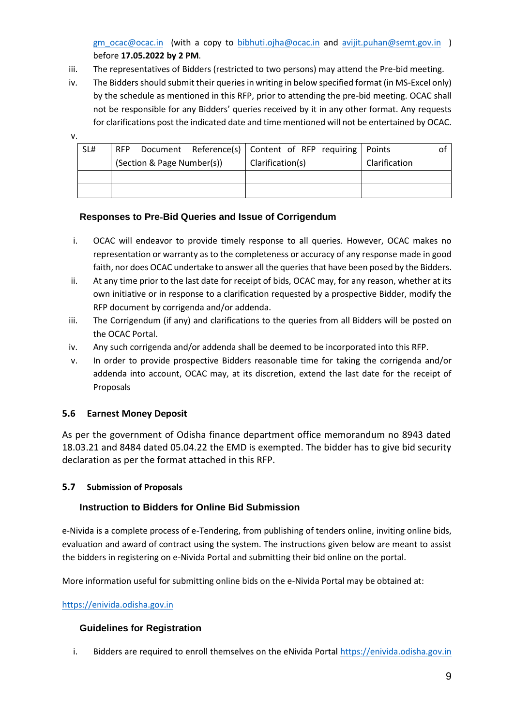[gm\\_ocac@ocac.in](mailto:gm_ocac@ocac.in) (with a copy to [bibhuti.ojha@ocac.in](mailto:bibhuti.ojha@ocac.in) and [avijit.puhan@semt.gov.in](mailto:avijit.puhan@semt.gov.in) ) before **17.05.2022 by 2 PM**.

- iii. The representatives of Bidders (restricted to two persons) may attend the Pre-bid meeting.
- iv. The Bidders should submit their queries in writing in below specified format (in MS-Excel only) by the schedule as mentioned in this RFP, prior to attending the pre-bid meeting. OCAC shall not be responsible for any Bidders' queries received by it in any other format. Any requests for clarifications post the indicated date and time mentioned will not be entertained by OCAC.

v.

| SL# | RFP                        | Document Reference(s)   Content of RFP requiring   Points |               |  |
|-----|----------------------------|-----------------------------------------------------------|---------------|--|
|     | (Section & Page Number(s)) | Clarification(s)                                          | Clarification |  |
|     |                            |                                                           |               |  |
|     |                            |                                                           |               |  |

#### <span id="page-8-0"></span>**Responses to Pre**‐**Bid Queries and Issue of Corrigendum**

- i. OCAC will endeavor to provide timely response to all queries. However, OCAC makes no representation or warranty as to the completeness or accuracy of any response made in good faith, nor does OCAC undertake to answer all the queries that have been posed by the Bidders.
- ii. At any time prior to the last date for receipt of bids, OCAC may, for any reason, whether at its own initiative or in response to a clarification requested by a prospective Bidder, modify the RFP document by corrigenda and/or addenda.
- iii. The Corrigendum (if any) and clarifications to the queries from all Bidders will be posted on the OCAC Portal.
- iv. Any such corrigenda and/or addenda shall be deemed to be incorporated into this RFP.
- v. In order to provide prospective Bidders reasonable time for taking the corrigenda and/or addenda into account, OCAC may, at its discretion, extend the last date for the receipt of Proposals

## <span id="page-8-1"></span>**5.6 Earnest Money Deposit**

As per the government of Odisha finance department office memorandum no 8943 dated 18.03.21 and 8484 dated 05.04.22 the EMD is exempted. The bidder has to give bid security declaration as per the format attached in this RFP.

## <span id="page-8-2"></span>**5.7 Submission of Proposals**

## <span id="page-8-3"></span>**Instruction to Bidders for Online Bid Submission**

e-Nivida is a complete process of e-Tendering, from publishing of tenders online, inviting online bids, evaluation and award of contract using the system. The instructions given below are meant to assist the bidders in registering on e-Nivida Portal and submitting their bid online on the portal.

More information useful for submitting online bids on the e-Nivida Portal may be obtained at:

#### [https://enivida.odisha.gov.in](https://enivida.odisha.gov.in/)

## <span id="page-8-4"></span>**Guidelines for Registration**

i. Bidders are required to enroll themselves on the eNivida Portal [https://enivida.odisha.gov.in](https://enivida.odisha.gov.in/)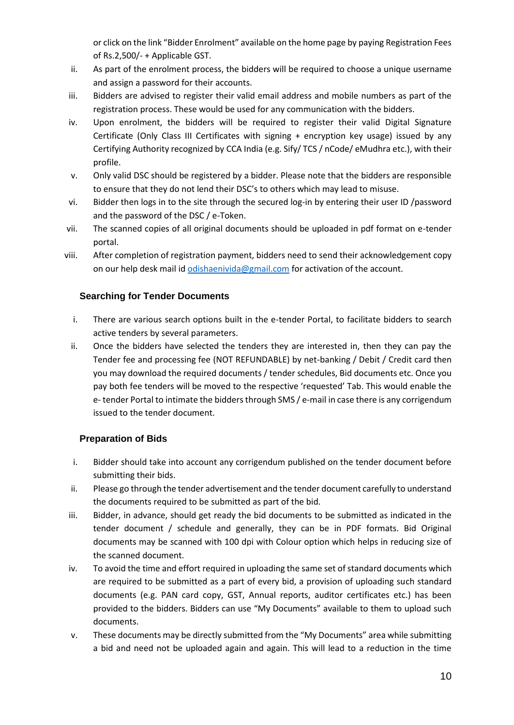or click on the link "Bidder Enrolment" available on the home page by paying Registration Fees of Rs.2,500/- + Applicable GST.

- ii. As part of the enrolment process, the bidders will be required to choose a unique username and assign a password for their accounts.
- iii. Bidders are advised to register their valid email address and mobile numbers as part of the registration process. These would be used for any communication with the bidders.
- iv. Upon enrolment, the bidders will be required to register their valid Digital Signature Certificate (Only Class III Certificates with signing + encryption key usage) issued by any Certifying Authority recognized by CCA India (e.g. Sify/ TCS / nCode/ eMudhra etc.), with their profile.
- v. Only valid DSC should be registered by a bidder. Please note that the bidders are responsible to ensure that they do not lend their DSC's to others which may lead to misuse.
- vi. Bidder then logs in to the site through the secured log-in by entering their user ID /password and the password of the DSC / e-Token.
- vii. The scanned copies of all original documents should be uploaded in pdf format on e-tender portal.
- viii. After completion of registration payment, bidders need to send their acknowledgement copy on our help desk mail id *odishaenivida@gmail.com* for activation of the account.

#### <span id="page-9-0"></span>**Searching for Tender Documents**

- i. There are various search options built in the e-tender Portal, to facilitate bidders to search active tenders by several parameters.
- ii. Once the bidders have selected the tenders they are interested in, then they can pay the Tender fee and processing fee (NOT REFUNDABLE) by net-banking / Debit / Credit card then you may download the required documents / tender schedules, Bid documents etc. Once you pay both fee tenders will be moved to the respective 'requested' Tab. This would enable the e- tender Portal to intimate the bidders through SMS / e-mail in case there is any corrigendum issued to the tender document.

#### <span id="page-9-1"></span>**Preparation of Bids**

- i. Bidder should take into account any corrigendum published on the tender document before submitting their bids.
- ii. Please go through the tender advertisement and the tender document carefully to understand the documents required to be submitted as part of the bid.
- iii. Bidder, in advance, should get ready the bid documents to be submitted as indicated in the tender document / schedule and generally, they can be in PDF formats. Bid Original documents may be scanned with 100 dpi with Colour option which helps in reducing size of the scanned document.
- iv. To avoid the time and effort required in uploading the same set of standard documents which are required to be submitted as a part of every bid, a provision of uploading such standard documents (e.g. PAN card copy, GST, Annual reports, auditor certificates etc.) has been provided to the bidders. Bidders can use "My Documents" available to them to upload such documents.
- v. These documents may be directly submitted from the "My Documents" area while submitting a bid and need not be uploaded again and again. This will lead to a reduction in the time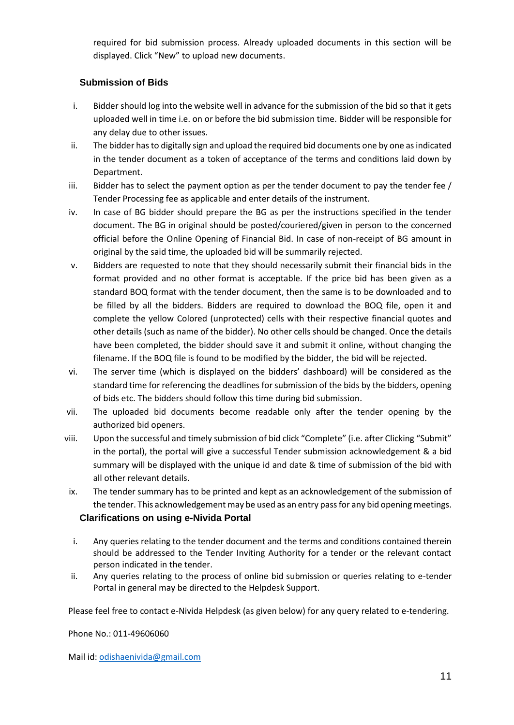required for bid submission process. Already uploaded documents in this section will be displayed. Click "New" to upload new documents.

#### <span id="page-10-0"></span>**Submission of Bids**

- i. Bidder should log into the website well in advance for the submission of the bid so that it gets uploaded well in time i.e. on or before the bid submission time. Bidder will be responsible for any delay due to other issues.
- ii. The bidder has to digitally sign and upload the required bid documents one by one as indicated in the tender document as a token of acceptance of the terms and conditions laid down by Department.
- iii. Bidder has to select the payment option as per the tender document to pay the tender fee / Tender Processing fee as applicable and enter details of the instrument.
- iv. In case of BG bidder should prepare the BG as per the instructions specified in the tender document. The BG in original should be posted/couriered/given in person to the concerned official before the Online Opening of Financial Bid. In case of non-receipt of BG amount in original by the said time, the uploaded bid will be summarily rejected.
- v. Bidders are requested to note that they should necessarily submit their financial bids in the format provided and no other format is acceptable. If the price bid has been given as a standard BOQ format with the tender document, then the same is to be downloaded and to be filled by all the bidders. Bidders are required to download the BOQ file, open it and complete the yellow Colored (unprotected) cells with their respective financial quotes and other details (such as name of the bidder). No other cells should be changed. Once the details have been completed, the bidder should save it and submit it online, without changing the filename. If the BOQ file is found to be modified by the bidder, the bid will be rejected.
- vi. The server time (which is displayed on the bidders' dashboard) will be considered as the standard time for referencing the deadlines for submission of the bids by the bidders, opening of bids etc. The bidders should follow this time during bid submission.
- vii. The uploaded bid documents become readable only after the tender opening by the authorized bid openers.
- viii. Upon the successful and timely submission of bid click "Complete" (i.e. after Clicking "Submit" in the portal), the portal will give a successful Tender submission acknowledgement & a bid summary will be displayed with the unique id and date & time of submission of the bid with all other relevant details.
- ix. The tender summary has to be printed and kept as an acknowledgement of the submission of the tender. This acknowledgement may be used as an entry pass for any bid opening meetings. **Clarifications on using e-Nivida Portal**
- <span id="page-10-1"></span>i. Any queries relating to the tender document and the terms and conditions contained therein should be addressed to the Tender Inviting Authority for a tender or the relevant contact person indicated in the tender.
- ii. Any queries relating to the process of online bid submission or queries relating to e-tender Portal in general may be directed to the Helpdesk Support.

Please feel free to contact e-Nivida Helpdesk (as given below) for any query related to e-tendering.

Phone No.: 011-49606060

Mail id: [odishaenivida@gmail.com](mailto:odishaenivida@gmail.com)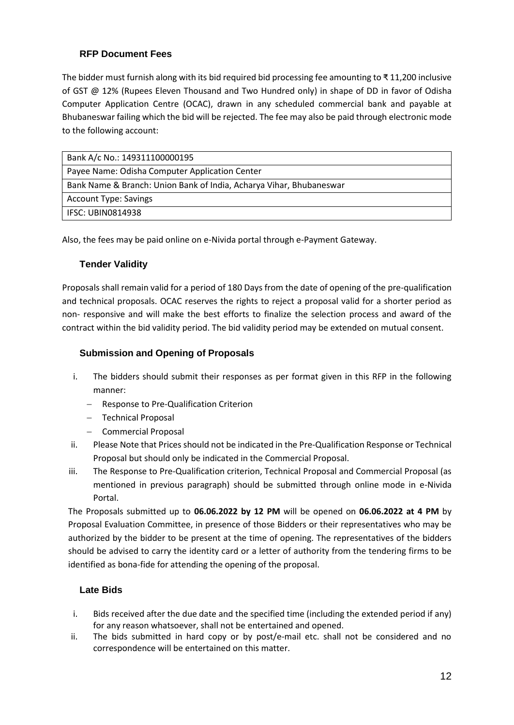## <span id="page-11-0"></span>**RFP Document Fees**

The bidder must furnish along with its bid required bid processing fee amounting to ₹ 11,200 inclusive of GST @ 12% (Rupees Eleven Thousand and Two Hundred only) in shape of DD in favor of Odisha Computer Application Centre (OCAC), drawn in any scheduled commercial bank and payable at Bhubaneswar failing which the bid will be rejected. The fee may also be paid through electronic mode to the following account:

| Bank A/c No.: 149311100000195                                       |
|---------------------------------------------------------------------|
| Payee Name: Odisha Computer Application Center                      |
| Bank Name & Branch: Union Bank of India, Acharya Vihar, Bhubaneswar |
| <b>Account Type: Savings</b>                                        |
| <b>IFSC: UBIN0814938</b>                                            |

Also, the fees may be paid online on e-Nivida portal through e-Payment Gateway.

## <span id="page-11-1"></span>**Tender Validity**

Proposals shall remain valid for a period of 180 Days from the date of opening of the pre-qualification and technical proposals. OCAC reserves the rights to reject a proposal valid for a shorter period as non- responsive and will make the best efforts to finalize the selection process and award of the contract within the bid validity period. The bid validity period may be extended on mutual consent.

## <span id="page-11-2"></span>**Submission and Opening of Proposals**

- i. The bidders should submit their responses as per format given in this RFP in the following manner:
	- − Response to Pre‐Qualification Criterion
	- − Technical Proposal
	- − Commercial Proposal
- ii. Please Note that Prices should not be indicated in the Pre-Qualification Response or Technical Proposal but should only be indicated in the Commercial Proposal.
- iii. The Response to Pre‐Qualification criterion, Technical Proposal and Commercial Proposal (as mentioned in previous paragraph) should be submitted through online mode in e-Nivida Portal.

The Proposals submitted up to **06.06.2022 by 12 PM** will be opened on **06.06.2022 at 4 PM** by Proposal Evaluation Committee, in presence of those Bidders or their representatives who may be authorized by the bidder to be present at the time of opening. The representatives of the bidders should be advised to carry the identity card or a letter of authority from the tendering firms to be identified as bona-fide for attending the opening of the proposal.

## <span id="page-11-3"></span>**Late Bids**

- i. Bids received after the due date and the specified time (including the extended period if any) for any reason whatsoever, shall not be entertained and opened.
- ii. The bids submitted in hard copy or by post/e-mail etc. shall not be considered and no correspondence will be entertained on this matter.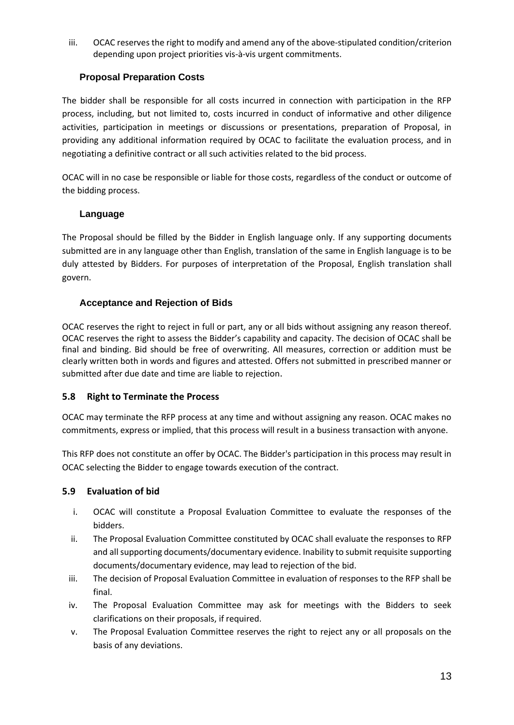iii. OCAC reserves the right to modify and amend any of the above‐stipulated condition/criterion depending upon project priorities vis‐à‐vis urgent commitments.

## <span id="page-12-0"></span>**Proposal Preparation Costs**

The bidder shall be responsible for all costs incurred in connection with participation in the RFP process, including, but not limited to, costs incurred in conduct of informative and other diligence activities, participation in meetings or discussions or presentations, preparation of Proposal, in providing any additional information required by OCAC to facilitate the evaluation process, and in negotiating a definitive contract or all such activities related to the bid process.

OCAC will in no case be responsible or liable for those costs, regardless of the conduct or outcome of the bidding process.

## <span id="page-12-1"></span>**Language**

The Proposal should be filled by the Bidder in English language only. If any supporting documents submitted are in any language other than English, translation of the same in English language is to be duly attested by Bidders. For purposes of interpretation of the Proposal, English translation shall govern.

## <span id="page-12-2"></span>**Acceptance and Rejection of Bids**

OCAC reserves the right to reject in full or part, any or all bids without assigning any reason thereof. OCAC reserves the right to assess the Bidder's capability and capacity. The decision of OCAC shall be final and binding. Bid should be free of overwriting. All measures, correction or addition must be clearly written both in words and figures and attested. Offers not submitted in prescribed manner or submitted after due date and time are liable to rejection.

## <span id="page-12-3"></span>**5.8 Right to Terminate the Process**

OCAC may terminate the RFP process at any time and without assigning any reason. OCAC makes no commitments, express or implied, that this process will result in a business transaction with anyone.

This RFP does not constitute an offer by OCAC. The Bidder's participation in this process may result in OCAC selecting the Bidder to engage towards execution of the contract.

## <span id="page-12-4"></span>**5.9 Evaluation of bid**

- i. OCAC will constitute a Proposal Evaluation Committee to evaluate the responses of the bidders.
- ii. The Proposal Evaluation Committee constituted by OCAC shall evaluate the responses to RFP and all supporting documents/documentary evidence. Inability to submit requisite supporting documents/documentary evidence, may lead to rejection of the bid.
- iii. The decision of Proposal Evaluation Committee in evaluation of responses to the RFP shall be final.
- iv. The Proposal Evaluation Committee may ask for meetings with the Bidders to seek clarifications on their proposals, if required.
- v. The Proposal Evaluation Committee reserves the right to reject any or all proposals on the basis of any deviations.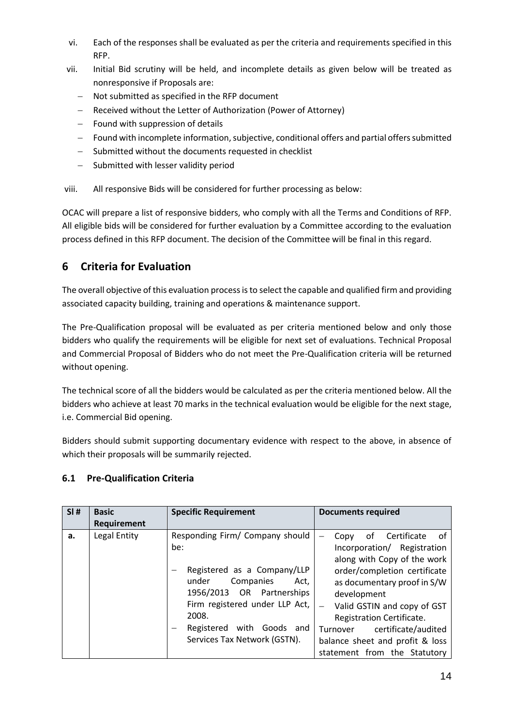- vi. Each of the responses shall be evaluated as per the criteria and requirements specified in this RFP.
- vii. Initial Bid scrutiny will be held, and incomplete details as given below will be treated as nonresponsive if Proposals are:
	- Not submitted as specified in the RFP document
	- − Received without the Letter of Authorization (Power of Attorney)
	- − Found with suppression of details
	- − Found with incomplete information, subjective, conditional offers and partial offers submitted
	- − Submitted without the documents requested in checklist
	- − Submitted with lesser validity period

viii. All responsive Bids will be considered for further processing as below:

OCAC will prepare a list of responsive bidders, who comply with all the Terms and Conditions of RFP. All eligible bids will be considered for further evaluation by a Committee according to the evaluation process defined in this RFP document. The decision of the Committee will be final in this regard.

## <span id="page-13-0"></span>**6 Criteria for Evaluation**

The overall objective of this evaluation process is to select the capable and qualified firm and providing associated capacity building, training and operations & maintenance support.

The Pre-Qualification proposal will be evaluated as per criteria mentioned below and only those bidders who qualify the requirements will be eligible for next set of evaluations. Technical Proposal and Commercial Proposal of Bidders who do not meet the Pre-Qualification criteria will be returned without opening.

The technical score of all the bidders would be calculated as per the criteria mentioned below. All the bidders who achieve at least 70 marks in the technical evaluation would be eligible for the next stage, i.e. Commercial Bid opening.

Bidders should submit supporting documentary evidence with respect to the above, in absence of which their proposals will be summarily rejected.

## <span id="page-13-1"></span>**6.1 Pre-Qualification Criteria**

| SI# | <b>Basic</b><br>Requirement | <b>Specific Requirement</b>                                                                                                                                                                                                                    | <b>Documents required</b>                                                                                                                                                                                                                                                                                                                       |
|-----|-----------------------------|------------------------------------------------------------------------------------------------------------------------------------------------------------------------------------------------------------------------------------------------|-------------------------------------------------------------------------------------------------------------------------------------------------------------------------------------------------------------------------------------------------------------------------------------------------------------------------------------------------|
| а.  | Legal Entity                | Responding Firm/ Company should<br>be:<br>Registered as a Company/LLP<br>Companies<br>under<br>Act,<br>1956/2013 OR Partnerships<br>Firm registered under LLP Act,<br>2008.<br>with<br>Goods and<br>Registered<br>Services Tax Network (GSTN). | Certificate<br>οf<br>Copy<br>. of<br>Incorporation/ Registration<br>along with Copy of the work<br>order/completion certificate<br>as documentary proof in S/W<br>development<br>Valid GSTIN and copy of GST<br>Registration Certificate.<br>certificate/audited<br>Turnover<br>balance sheet and profit & loss<br>statement from the Statutory |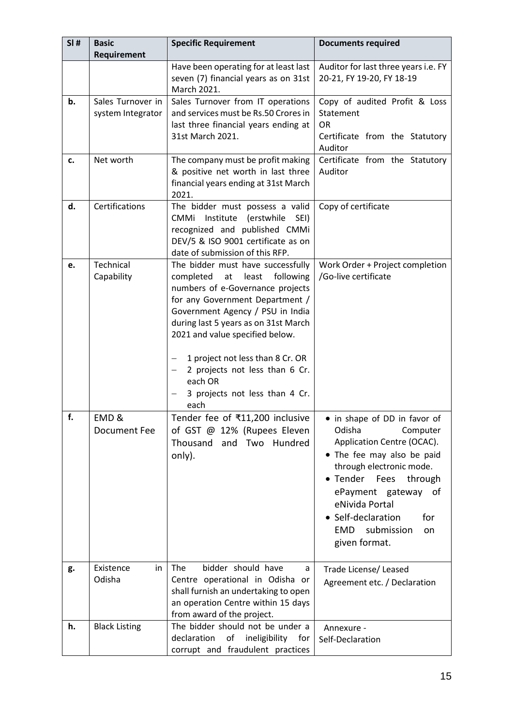| SI# | <b>Basic</b><br>Requirement            | <b>Specific Requirement</b>                                                                                                                                                                                                                                                                                                                                                              | <b>Documents required</b>                                                                                                                                                                                                                                                          |
|-----|----------------------------------------|------------------------------------------------------------------------------------------------------------------------------------------------------------------------------------------------------------------------------------------------------------------------------------------------------------------------------------------------------------------------------------------|------------------------------------------------------------------------------------------------------------------------------------------------------------------------------------------------------------------------------------------------------------------------------------|
|     |                                        | Have been operating for at least last<br>seven (7) financial years as on 31st<br>March 2021.                                                                                                                                                                                                                                                                                             | Auditor for last three years i.e. FY<br>20-21, FY 19-20, FY 18-19                                                                                                                                                                                                                  |
| b.  | Sales Turnover in<br>system Integrator | Sales Turnover from IT operations<br>and services must be Rs.50 Crores in<br>last three financial years ending at<br>31st March 2021.                                                                                                                                                                                                                                                    | Copy of audited Profit & Loss<br>Statement<br><b>OR</b><br>Certificate from the Statutory<br>Auditor                                                                                                                                                                               |
| c.  | Net worth                              | The company must be profit making<br>& positive net worth in last three<br>financial years ending at 31st March<br>2021.                                                                                                                                                                                                                                                                 | Certificate from the Statutory<br>Auditor                                                                                                                                                                                                                                          |
| d.  | Certifications                         | The bidder must possess a valid<br>CMMi Institute (erstwhile<br>SEI)<br>recognized and published CMMi<br>DEV/5 & ISO 9001 certificate as on<br>date of submission of this RFP.                                                                                                                                                                                                           | Copy of certificate                                                                                                                                                                                                                                                                |
| e.  | Technical<br>Capability                | The bidder must have successfully<br>completed<br>following<br>at least<br>numbers of e-Governance projects<br>for any Government Department /<br>Government Agency / PSU in India<br>during last 5 years as on 31st March<br>2021 and value specified below.<br>1 project not less than 8 Cr. OR<br>2 projects not less than 6 Cr.<br>each OR<br>3 projects not less than 4 Cr.<br>each | Work Order + Project completion<br>/Go-live certificate                                                                                                                                                                                                                            |
| f.  | EMD&<br>Document Fee                   | Tender fee of ₹11,200 inclusive<br>of GST @ 12% (Rupees Eleven<br>Thousand and Two Hundred<br>only).                                                                                                                                                                                                                                                                                     | • in shape of DD in favor of<br>Odisha<br>Computer<br>Application Centre (OCAC).<br>• The fee may also be paid<br>through electronic mode.<br>• Tender Fees through<br>ePayment gateway of<br>eNivida Portal<br>• Self-declaration<br>for<br>EMD submission<br>on<br>given format. |
| g.  | Existence<br>in<br>Odisha              | bidder should have<br>The<br>a<br>Centre operational in Odisha or<br>shall furnish an undertaking to open<br>an operation Centre within 15 days<br>from award of the project.                                                                                                                                                                                                            | Trade License/ Leased<br>Agreement etc. / Declaration                                                                                                                                                                                                                              |
| h.  | <b>Black Listing</b>                   | The bidder should not be under a<br>declaration<br>of ineligibility for<br>corrupt and fraudulent practices                                                                                                                                                                                                                                                                              | Annexure -<br>Self-Declaration                                                                                                                                                                                                                                                     |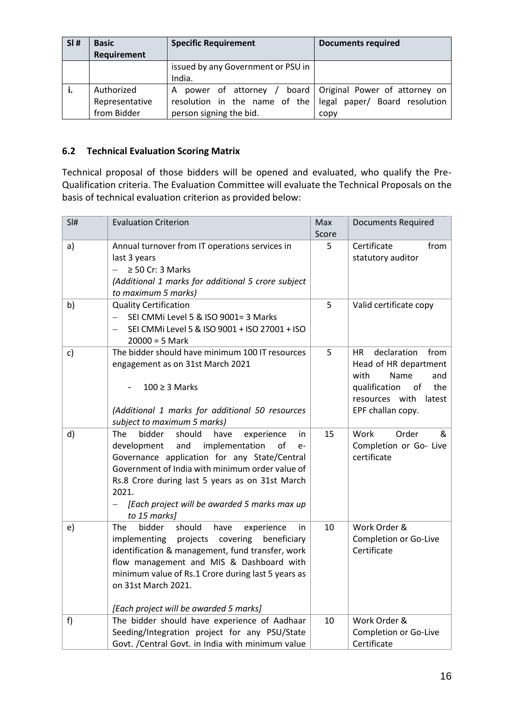| SI# | <b>Basic</b><br>Requirement                 | <b>Specific Requirement</b>                                                                 | <b>Documents required</b>                                         |
|-----|---------------------------------------------|---------------------------------------------------------------------------------------------|-------------------------------------------------------------------|
|     |                                             | issued by any Government or PSU in<br>India.                                                |                                                                   |
| ъ.  | Authorized<br>Representative<br>from Bidder | A<br>resolution in the name of the legal paper/ Board resolution<br>person signing the bid. | power of attorney / board   Original Power of attorney on<br>copy |

## <span id="page-15-0"></span>**6.2 Technical Evaluation Scoring Matrix**

Technical proposal of those bidders will be opened and evaluated, who qualify the Pre-Qualification criteria. The Evaluation Committee will evaluate the Technical Proposals on the basis of technical evaluation criterion as provided below:

| SI# | <b>Evaluation Criterion</b>                                                                                                                                                                                                                                                                                                                            | Max<br>Score | <b>Documents Required</b>                                                                                                                                 |
|-----|--------------------------------------------------------------------------------------------------------------------------------------------------------------------------------------------------------------------------------------------------------------------------------------------------------------------------------------------------------|--------------|-----------------------------------------------------------------------------------------------------------------------------------------------------------|
| a)  | Annual turnover from IT operations services in<br>last 3 years<br>$\geq$ 50 Cr: 3 Marks<br>(Additional 1 marks for additional 5 crore subject<br>to maximum 5 marks)                                                                                                                                                                                   | 5            | Certificate<br>from<br>statutory auditor                                                                                                                  |
| b)  | <b>Quality Certification</b><br>SEI CMMi Level 5 & ISO 9001= 3 Marks<br>SEI CMMi Level 5 & ISO 9001 + ISO 27001 + ISO<br>$20000 = 5$ Mark                                                                                                                                                                                                              | 5            | Valid certificate copy                                                                                                                                    |
| c)  | The bidder should have minimum 100 IT resources<br>engagement as on 31st March 2021<br>$100 \geq 3$ Marks<br>(Additional 1 marks for additional 50 resources<br>subject to maximum 5 marks)                                                                                                                                                            | 5            | declaration<br>from<br>HR.<br>Head of HR department<br>with<br>Name<br>and<br>qualification<br>the<br>of<br>resources with<br>latest<br>EPF challan copy. |
| d)  | bidder<br>should<br><b>The</b><br>have<br>experience<br>in<br>implementation<br>development<br>and<br>of<br>$e-$<br>Governance application for any State/Central<br>Government of India with minimum order value of<br>Rs.8 Crore during last 5 years as on 31st March<br>2021.<br>[Each project will be awarded 5 marks max up<br>$-$<br>to 15 marks] | 15           | Order<br>Work<br>&<br>Completion or Go- Live<br>certificate                                                                                               |
| e)  | bidder<br>should<br><b>The</b><br>have<br>experience<br>in<br>projects<br>covering<br>implementing<br>beneficiary<br>identification & management, fund transfer, work<br>flow management and MIS & Dashboard with<br>minimum value of Rs.1 Crore during last 5 years as<br>on 31st March 2021.<br>[Each project will be awarded 5 marks]               | 10           | Work Order &<br>Completion or Go-Live<br>Certificate                                                                                                      |
| f)  | The bidder should have experience of Aadhaar<br>Seeding/Integration project for any PSU/State<br>Govt. / Central Govt. in India with minimum value                                                                                                                                                                                                     | 10           | Work Order &<br>Completion or Go-Live<br>Certificate                                                                                                      |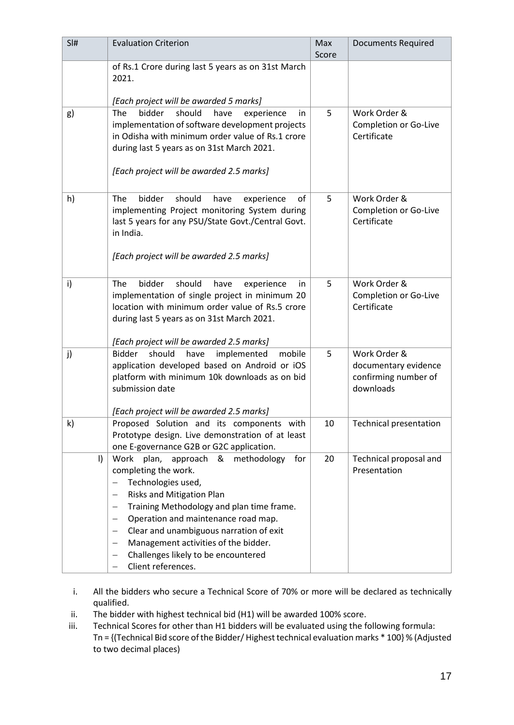| SI#     | <b>Evaluation Criterion</b>                                                                                                                                                                                                                                                                                                                                                                                                                                                                                  | Max<br>Score | <b>Documents Required</b>                                                 |
|---------|--------------------------------------------------------------------------------------------------------------------------------------------------------------------------------------------------------------------------------------------------------------------------------------------------------------------------------------------------------------------------------------------------------------------------------------------------------------------------------------------------------------|--------------|---------------------------------------------------------------------------|
|         | of Rs.1 Crore during last 5 years as on 31st March<br>2021.                                                                                                                                                                                                                                                                                                                                                                                                                                                  |              |                                                                           |
|         | [Each project will be awarded 5 marks]                                                                                                                                                                                                                                                                                                                                                                                                                                                                       |              |                                                                           |
| g)      | bidder<br>should<br>The<br>have<br>experience<br>in<br>implementation of software development projects<br>in Odisha with minimum order value of Rs.1 crore<br>during last 5 years as on 31st March 2021.<br>[Each project will be awarded 2.5 marks]                                                                                                                                                                                                                                                         | 5            | Work Order &<br>Completion or Go-Live<br>Certificate                      |
| h)      | The<br>bidder<br>should<br>have<br>experience<br>of<br>implementing Project monitoring System during<br>last 5 years for any PSU/State Govt./Central Govt.<br>in India.<br>[Each project will be awarded 2.5 marks]                                                                                                                                                                                                                                                                                          | 5            | Work Order &<br>Completion or Go-Live<br>Certificate                      |
| i)      | bidder<br>The<br>should<br>have<br>experience<br>in<br>implementation of single project in minimum 20<br>location with minimum order value of Rs.5 crore<br>during last 5 years as on 31st March 2021.<br>[Each project will be awarded 2.5 marks]                                                                                                                                                                                                                                                           | 5            | Work Order &<br>Completion or Go-Live<br>Certificate                      |
| j)      | Bidder<br>should<br>have<br>implemented<br>mobile<br>application developed based on Android or iOS<br>platform with minimum 10k downloads as on bid<br>submission date<br>[Each project will be awarded 2.5 marks]                                                                                                                                                                                                                                                                                           | 5            | Work Order &<br>documentary evidence<br>confirming number of<br>downloads |
| k)      | Proposed Solution and its components with<br>Prototype design. Live demonstration of at least<br>one E-governance G2B or G2C application.                                                                                                                                                                                                                                                                                                                                                                    | 10           | Technical presentation                                                    |
| $\vert$ | Work plan,<br>approach<br>&<br>methodology<br>for<br>completing the work.<br>Technologies used,<br>$\qquad \qquad -$<br>Risks and Mitigation Plan<br>$\qquad \qquad -$<br>Training Methodology and plan time frame.<br>$\overline{\phantom{m}}$<br>Operation and maintenance road map.<br>$\qquad \qquad -$<br>Clear and unambiguous narration of exit<br>$\qquad \qquad -$<br>Management activities of the bidder.<br>$\overline{\phantom{0}}$<br>Challenges likely to be encountered<br>Client references. | 20           | Technical proposal and<br>Presentation                                    |

- i. All the bidders who secure a Technical Score of 70% or more will be declared as technically qualified.
- ii. The bidder with highest technical bid (H1) will be awarded 100% score.
- iii. Technical Scores for other than H1 bidders will be evaluated using the following formula: Tn = {(Technical Bid score of the Bidder/ Highest technical evaluation marks \* 100} % (Adjusted to two decimal places)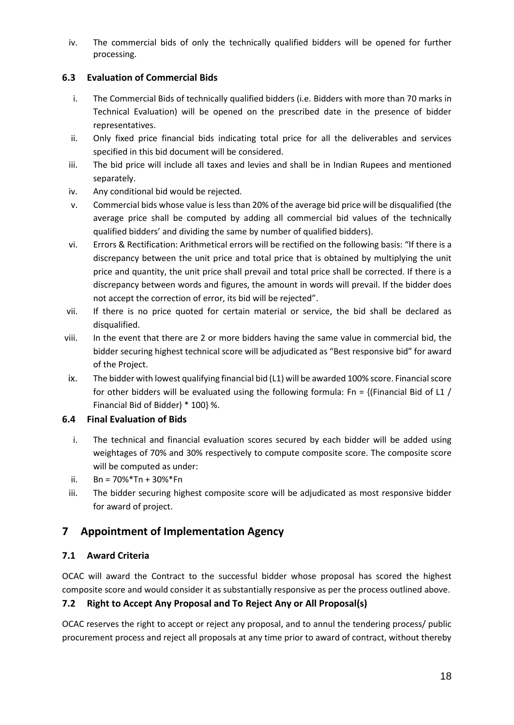iv. The commercial bids of only the technically qualified bidders will be opened for further processing.

## <span id="page-17-0"></span>**6.3 Evaluation of Commercial Bids**

- i. The Commercial Bids of technically qualified bidders (i.e. Bidders with more than 70 marks in Technical Evaluation) will be opened on the prescribed date in the presence of bidder representatives.
- ii. Only fixed price financial bids indicating total price for all the deliverables and services specified in this bid document will be considered.
- iii. The bid price will include all taxes and levies and shall be in Indian Rupees and mentioned separately.
- iv. Any conditional bid would be rejected.
- v. Commercial bids whose value is less than 20% of the average bid price will be disqualified (the average price shall be computed by adding all commercial bid values of the technically qualified bidders' and dividing the same by number of qualified bidders).
- vi. Errors & Rectification: Arithmetical errors will be rectified on the following basis: "If there is a discrepancy between the unit price and total price that is obtained by multiplying the unit price and quantity, the unit price shall prevail and total price shall be corrected. If there is a discrepancy between words and figures, the amount in words will prevail. If the bidder does not accept the correction of error, its bid will be rejected".
- vii. If there is no price quoted for certain material or service, the bid shall be declared as disqualified.
- viii. In the event that there are 2 or more bidders having the same value in commercial bid, the bidder securing highest technical score will be adjudicated as "Best responsive bid" for award of the Project.
- ix. The bidder with lowest qualifying financial bid (L1) will be awarded 100% score. Financial score for other bidders will be evaluated using the following formula: Fn = {(Financial Bid of L1 / Financial Bid of Bidder) \* 100} %.

## <span id="page-17-1"></span>**6.4 Final Evaluation of Bids**

- i. The technical and financial evaluation scores secured by each bidder will be added using weightages of 70% and 30% respectively to compute composite score. The composite score will be computed as under:
- ii. Bn =  $70\%$ \*Tn +  $30\%$ \*Fn
- iii. The bidder securing highest composite score will be adjudicated as most responsive bidder for award of project.

## <span id="page-17-2"></span>**7 Appointment of Implementation Agency**

## <span id="page-17-3"></span>**7.1 Award Criteria**

OCAC will award the Contract to the successful bidder whose proposal has scored the highest composite score and would consider it as substantially responsive as per the process outlined above.

## <span id="page-17-4"></span>**7.2 Right to Accept Any Proposal and To Reject Any or All Proposal(s)**

OCAC reserves the right to accept or reject any proposal, and to annul the tendering process/ public procurement process and reject all proposals at any time prior to award of contract, without thereby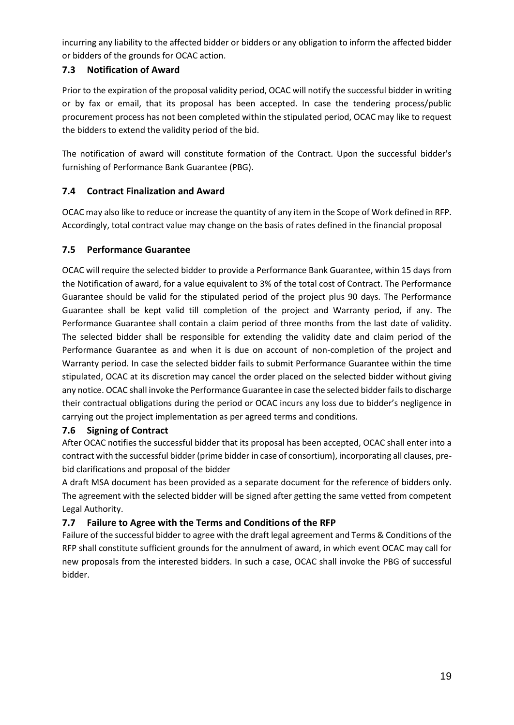incurring any liability to the affected bidder or bidders or any obligation to inform the affected bidder or bidders of the grounds for OCAC action.

## <span id="page-18-0"></span>**7.3 Notification of Award**

Prior to the expiration of the proposal validity period, OCAC will notify the successful bidder in writing or by fax or email, that its proposal has been accepted. In case the tendering process/public procurement process has not been completed within the stipulated period, OCAC may like to request the bidders to extend the validity period of the bid.

The notification of award will constitute formation of the Contract. Upon the successful bidder's furnishing of Performance Bank Guarantee (PBG).

## <span id="page-18-1"></span>**7.4 Contract Finalization and Award**

OCAC may also like to reduce or increase the quantity of any item in the Scope of Work defined in RFP. Accordingly, total contract value may change on the basis of rates defined in the financial proposal

## <span id="page-18-2"></span>**7.5 Performance Guarantee**

OCAC will require the selected bidder to provide a Performance Bank Guarantee, within 15 days from the Notification of award, for a value equivalent to 3% of the total cost of Contract. The Performance Guarantee should be valid for the stipulated period of the project plus 90 days. The Performance Guarantee shall be kept valid till completion of the project and Warranty period, if any. The Performance Guarantee shall contain a claim period of three months from the last date of validity. The selected bidder shall be responsible for extending the validity date and claim period of the Performance Guarantee as and when it is due on account of non-completion of the project and Warranty period. In case the selected bidder fails to submit Performance Guarantee within the time stipulated, OCAC at its discretion may cancel the order placed on the selected bidder without giving any notice. OCAC shall invoke the Performance Guarantee in case the selected bidder fails to discharge their contractual obligations during the period or OCAC incurs any loss due to bidder's negligence in carrying out the project implementation as per agreed terms and conditions.

## <span id="page-18-3"></span>**7.6 Signing of Contract**

After OCAC notifies the successful bidder that its proposal has been accepted, OCAC shall enter into a contract with the successful bidder (prime bidder in case of consortium), incorporating all clauses, prebid clarifications and proposal of the bidder

A draft MSA document has been provided as a separate document for the reference of bidders only. The agreement with the selected bidder will be signed after getting the same vetted from competent Legal Authority.

## <span id="page-18-4"></span>**7.7 Failure to Agree with the Terms and Conditions of the RFP**

Failure of the successful bidder to agree with the draft legal agreement and Terms & Conditions of the RFP shall constitute sufficient grounds for the annulment of award, in which event OCAC may call for new proposals from the interested bidders. In such a case, OCAC shall invoke the PBG of successful bidder.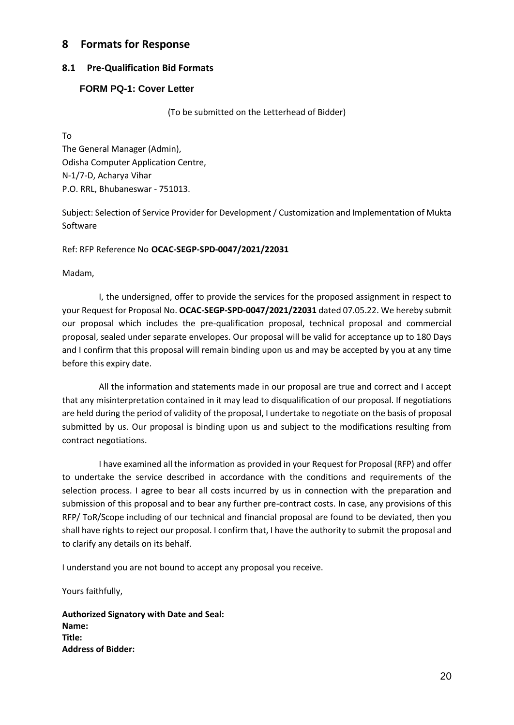## <span id="page-19-0"></span>**8 Formats for Response**

#### <span id="page-19-1"></span>**8.1 Pre-Qualification Bid Formats**

#### <span id="page-19-2"></span>**FORM PQ-1: Cover Letter**

(To be submitted on the Letterhead of Bidder)

To

The General Manager (Admin), Odisha Computer Application Centre, N-1/7-D, Acharya Vihar P.O. RRL, Bhubaneswar - 751013.

Subject: Selection of Service Provider for Development / Customization and Implementation of Mukta Software

Ref: RFP Reference No **OCAC-SEGP-SPD-0047/2021/22031**

Madam,

I, the undersigned, offer to provide the services for the proposed assignment in respect to your Request for Proposal No. **OCAC-SEGP-SPD-0047/2021/22031** dated 07.05.22. We hereby submit our proposal which includes the pre-qualification proposal, technical proposal and commercial proposal, sealed under separate envelopes. Our proposal will be valid for acceptance up to 180 Days and I confirm that this proposal will remain binding upon us and may be accepted by you at any time before this expiry date.

All the information and statements made in our proposal are true and correct and I accept that any misinterpretation contained in it may lead to disqualification of our proposal. If negotiations are held during the period of validity of the proposal, I undertake to negotiate on the basis of proposal submitted by us. Our proposal is binding upon us and subject to the modifications resulting from contract negotiations.

I have examined all the information as provided in your Request for Proposal (RFP) and offer to undertake the service described in accordance with the conditions and requirements of the selection process. I agree to bear all costs incurred by us in connection with the preparation and submission of this proposal and to bear any further pre-contract costs. In case, any provisions of this RFP/ ToR/Scope including of our technical and financial proposal are found to be deviated, then you shall have rights to reject our proposal. I confirm that, I have the authority to submit the proposal and to clarify any details on its behalf.

I understand you are not bound to accept any proposal you receive.

Yours faithfully,

**Authorized Signatory with Date and Seal: Name: Title: Address of Bidder:**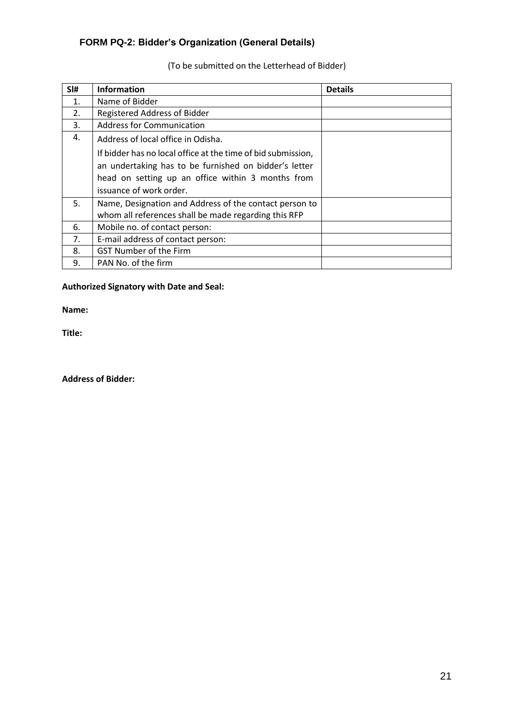## <span id="page-20-0"></span>**FORM PQ-2: Bidder's Organization (General Details)**

| SI# | <b>Information</b>                                           | <b>Details</b> |
|-----|--------------------------------------------------------------|----------------|
| 1.  | Name of Bidder                                               |                |
| 2.  | Registered Address of Bidder                                 |                |
| 3.  | <b>Address for Communication</b>                             |                |
| 4.  | Address of local office in Odisha.                           |                |
|     | If bidder has no local office at the time of bid submission, |                |
|     | an undertaking has to be furnished on bidder's letter        |                |
|     | head on setting up an office within 3 months from            |                |
|     | issuance of work order.                                      |                |
| 5.  | Name, Designation and Address of the contact person to       |                |
|     | whom all references shall be made regarding this RFP         |                |
| 6.  | Mobile no. of contact person:                                |                |
| 7.  | E-mail address of contact person:                            |                |
| 8.  | <b>GST Number of the Firm</b>                                |                |
| 9.  | PAN No. of the firm                                          |                |

## (To be submitted on the Letterhead of Bidder)

#### **Authorized Signatory with Date and Seal:**

**Name:**

**Title:**

**Address of Bidder:**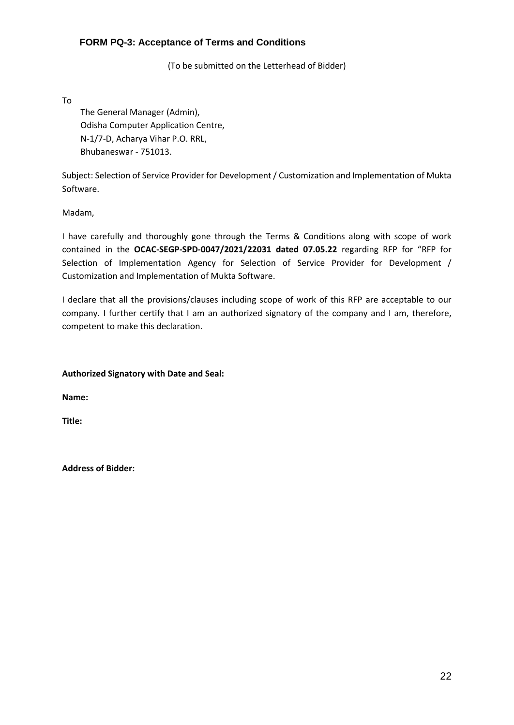#### <span id="page-21-0"></span>**FORM PQ-3: Acceptance of Terms and Conditions**

(To be submitted on the Letterhead of Bidder)

To

The General Manager (Admin), Odisha Computer Application Centre, N-1/7-D, Acharya Vihar P.O. RRL, Bhubaneswar - 751013.

Subject: Selection of Service Provider for Development / Customization and Implementation of Mukta Software.

Madam,

I have carefully and thoroughly gone through the Terms & Conditions along with scope of work contained in the **OCAC-SEGP-SPD-0047/2021/22031 dated 07.05.22** regarding RFP for "RFP for Selection of Implementation Agency for Selection of Service Provider for Development / Customization and Implementation of Mukta Software.

I declare that all the provisions/clauses including scope of work of this RFP are acceptable to our company. I further certify that I am an authorized signatory of the company and I am, therefore, competent to make this declaration.

#### **Authorized Signatory with Date and Seal:**

**Name:**

**Title:**

**Address of Bidder:**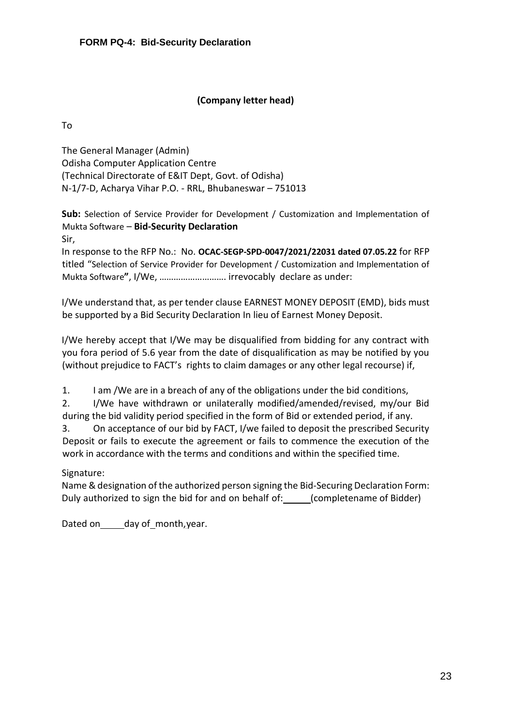## **(Company letter head)**

<span id="page-22-0"></span>To

The General Manager (Admin) Odisha Computer Application Centre (Technical Directorate of E&IT Dept, Govt. of Odisha) N-1/7-D, Acharya Vihar P.O. - RRL, Bhubaneswar – 751013

**Sub:** Selection of Service Provider for Development / Customization and Implementation of Mukta Software – **Bid-Security Declaration** Sir,

In response to the RFP No.: No. **OCAC-SEGP-SPD-0047/2021/22031 dated 07.05.22** for RFP titled "Selection of Service Provider for Development / Customization and Implementation of Mukta Software**"**, I/We, ………………………. irrevocably declare as under:

I/We understand that, as per tender clause EARNEST MONEY DEPOSIT (EMD), bids must be supported by a Bid Security Declaration In lieu of Earnest Money Deposit.

I/We hereby accept that I/We may be disqualified from bidding for any contract with you fora period of 5.6 year from the date of disqualification as may be notified by you (without prejudice to FACT's rights to claim damages or any other legal recourse) if,

1. I am /We are in a breach of any of the obligations under the bid conditions,

2. I/We have withdrawn or unilaterally modified/amended/revised, my/our Bid during the bid validity period specified in the form of Bid or extended period, if any.

3. On acceptance of our bid by FACT, I/we failed to deposit the prescribed Security Deposit or fails to execute the agreement or fails to commence the execution of the work in accordance with the terms and conditions and within the specified time.

## Signature:

Name & designation of the authorized person signing the Bid-Securing Declaration Form: Duly authorized to sign the bid for and on behalf of: (completename of Bidder)

Dated on day of month, year.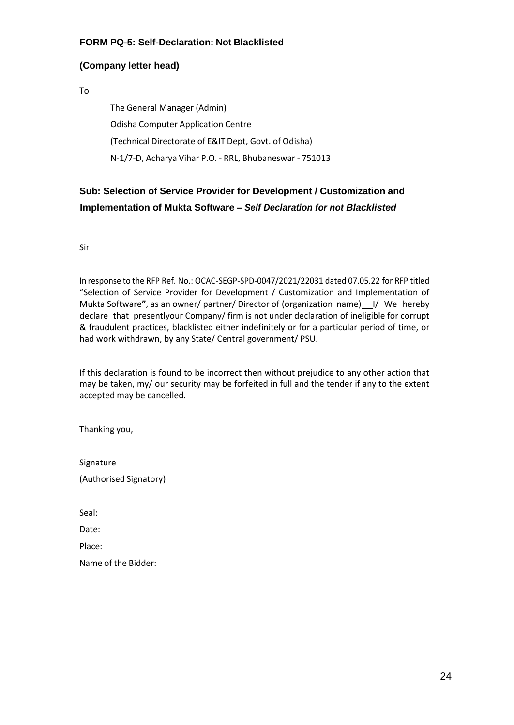#### <span id="page-23-0"></span>**FORM PQ-5: Self-Declaration: Not Blacklisted**

#### **(Company letter head)**

To

The General Manager (Admin) Odisha Computer Application Centre (Technical Directorate of E&IT Dept, Govt. of Odisha) N-1/7-D, Acharya Vihar P.O. - RRL, Bhubaneswar - 751013

## **Sub: Selection of Service Provider for Development / Customization and Implementation of Mukta Software –** *Self Declaration for not Blacklisted*

Sir

In response to the RFP Ref. No.: OCAC-SEGP-SPD-0047/2021/22031 dated 07.05.22 for RFP titled "Selection of Service Provider for Development / Customization and Implementation of Mukta Software", as an owner/ partner/ Director of (organization name) 1/ We hereby declare that presentlyour Company/ firm is not under declaration of ineligible for corrupt & fraudulent practices, blacklisted either indefinitely or for a particular period of time, or had work withdrawn, by any State/ Central government/ PSU.

If this declaration is found to be incorrect then without prejudice to any other action that may be taken, my/ our security may be forfeited in full and the tender if any to the extent accepted may be cancelled.

Thanking you,

| Signature |                        |
|-----------|------------------------|
|           | (Authorised Signatory) |

Seal:

Date:

Place:

Name of the Bidder: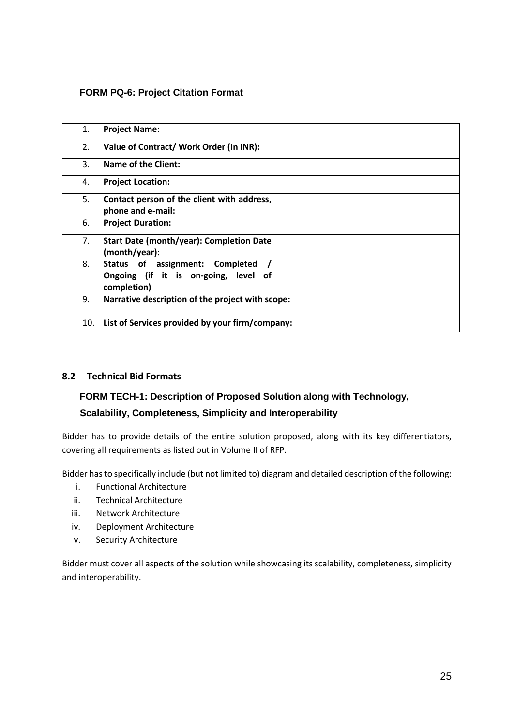#### <span id="page-24-0"></span>**FORM PQ-6: Project Citation Format**

| 1.  | <b>Project Name:</b>                                                                   |
|-----|----------------------------------------------------------------------------------------|
| 2.  | Value of Contract/Work Order (In INR):                                                 |
| 3.  | Name of the Client:                                                                    |
| 4.  | <b>Project Location:</b>                                                               |
| 5.  | Contact person of the client with address,<br>phone and e-mail:                        |
| 6.  | <b>Project Duration:</b>                                                               |
| 7.  | Start Date (month/year): Completion Date<br>(month/year):                              |
| 8.  | Status of assignment: Completed<br>Ongoing (if it is on-going, level of<br>completion) |
| 9.  | Narrative description of the project with scope:                                       |
| 10. | List of Services provided by your firm/company:                                        |

#### <span id="page-24-1"></span>**8.2 Technical Bid Formats**

## <span id="page-24-2"></span>**FORM TECH-1: Description of Proposed Solution along with Technology, Scalability, Completeness, Simplicity and Interoperability**

Bidder has to provide details of the entire solution proposed, along with its key differentiators, covering all requirements as listed out in Volume II of RFP.

Bidder has to specifically include (but not limited to) diagram and detailed description of the following:

- i. Functional Architecture
- ii. Technical Architecture
- iii. Network Architecture
- iv. Deployment Architecture
- v. Security Architecture

Bidder must cover all aspects of the solution while showcasing its scalability, completeness, simplicity and interoperability.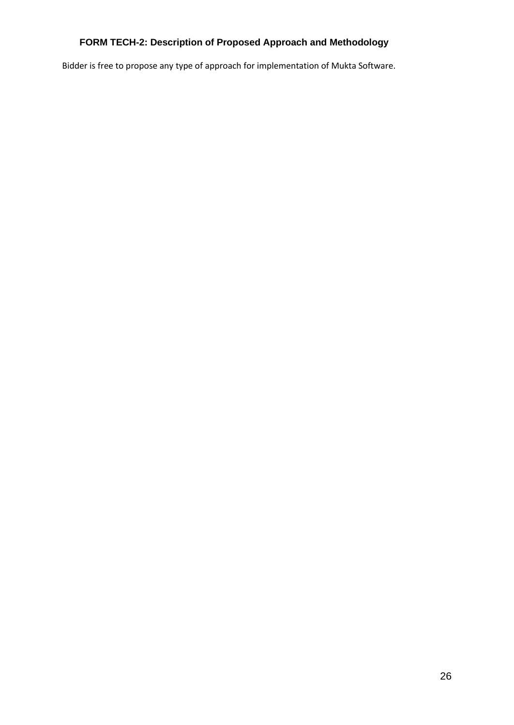## <span id="page-25-0"></span>**FORM TECH-2: Description of Proposed Approach and Methodology**

Bidder is free to propose any type of approach for implementation of Mukta Software.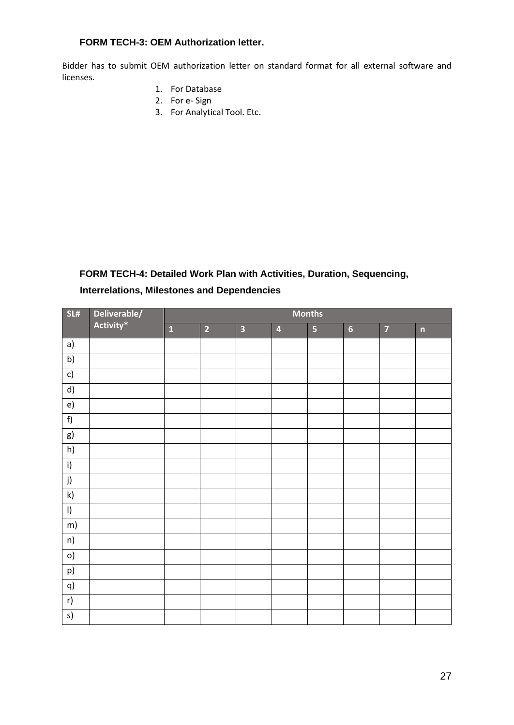#### <span id="page-26-0"></span>**FORM TECH-3: OEM Authorization letter.**

Bidder has to submit OEM authorization letter on standard format for all external software and licenses.

- 1. For Database
- 2. For e- Sign
- 3. For Analytical Tool. Etc.

## <span id="page-26-1"></span>**FORM TECH-4: Detailed Work Plan with Activities, Duration, Sequencing,**

## **Interrelations, Milestones and Dependencies**

| SL#           | Deliverable/ | <b>Months</b>           |                |                         |                         |                         |                |                |                         |  |  |
|---------------|--------------|-------------------------|----------------|-------------------------|-------------------------|-------------------------|----------------|----------------|-------------------------|--|--|
|               | Activity*    | $\overline{\mathbf{1}}$ | $\overline{2}$ | $\overline{\mathbf{3}}$ | $\overline{\mathbf{4}}$ | $\overline{\mathbf{5}}$ | $6\phantom{a}$ | $\overline{7}$ | $\overline{\mathsf{n}}$ |  |  |
| a)            |              |                         |                |                         |                         |                         |                |                |                         |  |  |
| b)            |              |                         |                |                         |                         |                         |                |                |                         |  |  |
| c)            |              |                         |                |                         |                         |                         |                |                |                         |  |  |
| d)            |              |                         |                |                         |                         |                         |                |                |                         |  |  |
| e)            |              |                         |                |                         |                         |                         |                |                |                         |  |  |
| f)            |              |                         |                |                         |                         |                         |                |                |                         |  |  |
| g)            |              |                         |                |                         |                         |                         |                |                |                         |  |  |
| h)            |              |                         |                |                         |                         |                         |                |                |                         |  |  |
| i)            |              |                         |                |                         |                         |                         |                |                |                         |  |  |
| j)            |              |                         |                |                         |                         |                         |                |                |                         |  |  |
| $\mathsf{k})$ |              |                         |                |                         |                         |                         |                |                |                         |  |  |
| $\vert$       |              |                         |                |                         |                         |                         |                |                |                         |  |  |
| m)            |              |                         |                |                         |                         |                         |                |                |                         |  |  |
| n)            |              |                         |                |                         |                         |                         |                |                |                         |  |  |
| $\circ)$      |              |                         |                |                         |                         |                         |                |                |                         |  |  |
| p)            |              |                         |                |                         |                         |                         |                |                |                         |  |  |
| q)            |              |                         |                |                         |                         |                         |                |                |                         |  |  |
| r)            |              |                         |                |                         |                         |                         |                |                |                         |  |  |
| s)            |              |                         |                |                         |                         |                         |                |                |                         |  |  |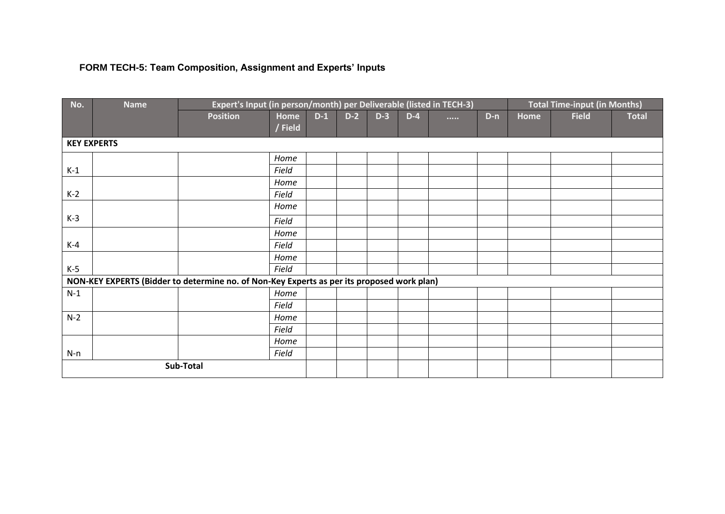# **FORM TECH-5: Team Composition, Assignment and Experts' Inputs**

<span id="page-27-0"></span>

| No.                                                                                        | <b>Name</b> |                 | Expert's Input (in person/month) per Deliverable (listed in TECH-3) |       |       |       |       |          |       | <b>Total Time-input (in Months)</b> |              |              |
|--------------------------------------------------------------------------------------------|-------------|-----------------|---------------------------------------------------------------------|-------|-------|-------|-------|----------|-------|-------------------------------------|--------------|--------------|
|                                                                                            |             | <b>Position</b> | Home                                                                | $D-1$ | $D-2$ | $D-3$ | $D-4$ | $\cdots$ | $D-n$ | Home                                | <b>Field</b> | <b>Total</b> |
|                                                                                            |             |                 | / Field                                                             |       |       |       |       |          |       |                                     |              |              |
| <b>KEY EXPERTS</b>                                                                         |             |                 |                                                                     |       |       |       |       |          |       |                                     |              |              |
|                                                                                            |             |                 | Home                                                                |       |       |       |       |          |       |                                     |              |              |
| $K-1$                                                                                      |             |                 | Field                                                               |       |       |       |       |          |       |                                     |              |              |
|                                                                                            |             |                 | Home                                                                |       |       |       |       |          |       |                                     |              |              |
| $K-2$                                                                                      |             |                 | Field                                                               |       |       |       |       |          |       |                                     |              |              |
|                                                                                            |             |                 | Home                                                                |       |       |       |       |          |       |                                     |              |              |
| $K-3$                                                                                      |             |                 | Field                                                               |       |       |       |       |          |       |                                     |              |              |
|                                                                                            |             |                 | Home                                                                |       |       |       |       |          |       |                                     |              |              |
| $K-4$                                                                                      |             |                 | Field                                                               |       |       |       |       |          |       |                                     |              |              |
|                                                                                            |             |                 | Home                                                                |       |       |       |       |          |       |                                     |              |              |
| $K-5$                                                                                      |             |                 | Field                                                               |       |       |       |       |          |       |                                     |              |              |
| NON-KEY EXPERTS (Bidder to determine no. of Non-Key Experts as per its proposed work plan) |             |                 |                                                                     |       |       |       |       |          |       |                                     |              |              |
| $N-1$                                                                                      |             |                 | Home                                                                |       |       |       |       |          |       |                                     |              |              |
|                                                                                            |             |                 | Field                                                               |       |       |       |       |          |       |                                     |              |              |
| $N-2$                                                                                      |             |                 | Home                                                                |       |       |       |       |          |       |                                     |              |              |
|                                                                                            |             |                 | Field                                                               |       |       |       |       |          |       |                                     |              |              |
|                                                                                            |             |                 | Home                                                                |       |       |       |       |          |       |                                     |              |              |
| $N-n$                                                                                      |             |                 | Field                                                               |       |       |       |       |          |       |                                     |              |              |
| Sub-Total                                                                                  |             |                 |                                                                     |       |       |       |       |          |       |                                     |              |              |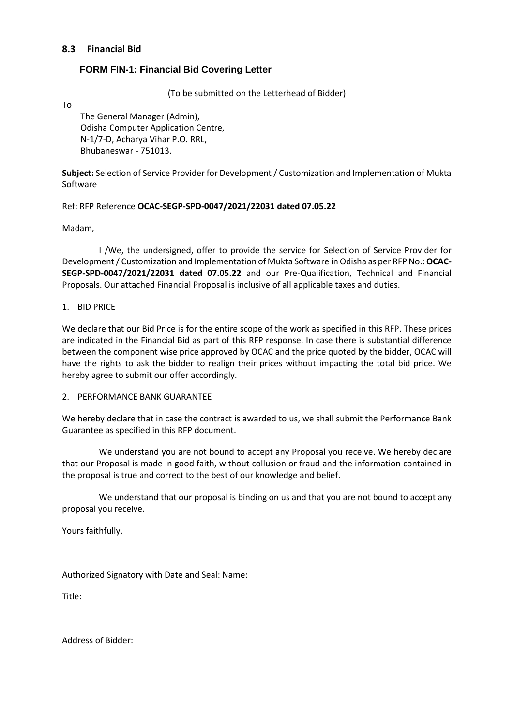#### <span id="page-28-0"></span>**8.3 Financial Bid**

#### <span id="page-28-1"></span>**FORM FIN-1: Financial Bid Covering Letter**

(To be submitted on the Letterhead of Bidder)

To

The General Manager (Admin), Odisha Computer Application Centre, N-1/7-D, Acharya Vihar P.O. RRL, Bhubaneswar - 751013.

**Subject:** Selection of Service Provider for Development / Customization and Implementation of Mukta Software

#### Ref: RFP Reference **OCAC-SEGP-SPD-0047/2021/22031 dated 07.05.22**

Madam,

I /We, the undersigned, offer to provide the service for Selection of Service Provider for Development / Customization and Implementation of Mukta Software in Odisha as per RFP No.: **OCAC-SEGP-SPD-0047/2021/22031 dated 07.05.22** and our Pre-Qualification, Technical and Financial Proposals. Our attached Financial Proposal is inclusive of all applicable taxes and duties.

#### 1. BID PRICE

We declare that our Bid Price is for the entire scope of the work as specified in this RFP. These prices are indicated in the Financial Bid as part of this RFP response. In case there is substantial difference between the component wise price approved by OCAC and the price quoted by the bidder, OCAC will have the rights to ask the bidder to realign their prices without impacting the total bid price. We hereby agree to submit our offer accordingly.

#### 2. PERFORMANCE BANK GUARANTEE

We hereby declare that in case the contract is awarded to us, we shall submit the Performance Bank Guarantee as specified in this RFP document.

We understand you are not bound to accept any Proposal you receive. We hereby declare that our Proposal is made in good faith, without collusion or fraud and the information contained in the proposal is true and correct to the best of our knowledge and belief.

We understand that our proposal is binding on us and that you are not bound to accept any proposal you receive.

Yours faithfully,

Authorized Signatory with Date and Seal: Name:

Title:

Address of Bidder: